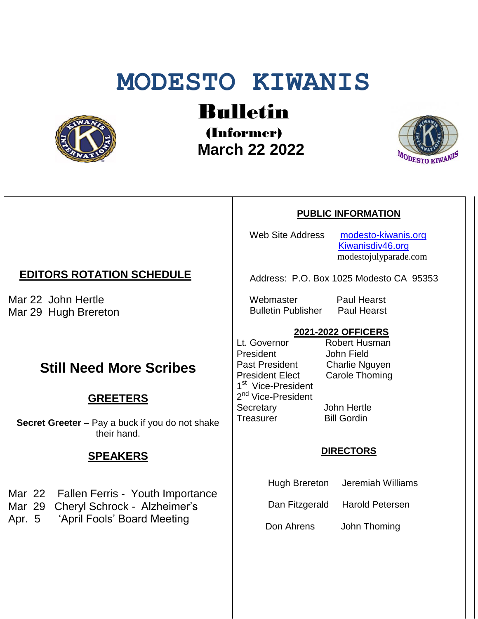# **MODESTO KIWANIS**



Bulletin

(Informer)  **March 22 2022**



#### **PUBLIC INFORMATION**

Web Site Address [modesto-kiwanis.org](http://modesto-kiwanis.org/) [Kiwanisdiv46.org](http://www.kiwanisdiv46.org/) modestojulyparade.com

Address: P.O. Box 1025 Modesto CA 95353

 Webmaster Paul Hearst Bulletin Publisher Paul Hearst

#### **2021-2022 OFFICERS**

Lt. Governor Robert Husman President John Field<br>Past President Charlie Ng President Elect Carole Thoming 1<sup>st</sup> Vice-President 2<sup>nd</sup> Vice-President Secretary John Hertle Treasurer Bill Gordin

Charlie Nguyen

#### **DIRECTORS**

Hugh Brereton Jeremiah Williams

Dan Fitzgerald Harold Petersen

Don Ahrens John Thoming

## **EDITORS ROTATION SCHEDULE**

Mar 22 John Hertle Mar 29 Hugh Brereton

# **Still Need More Scribes**

## **GREETERS**

**Secret Greeter** – Pay a buck if you do not shake their hand.

## **SPEAKERS**

- Mar 22 Fallen Ferris Youth Importance
- Mar 29 Cheryl Schrock Alzheimer's
- Apr. 5 'April Fools' Board Meeting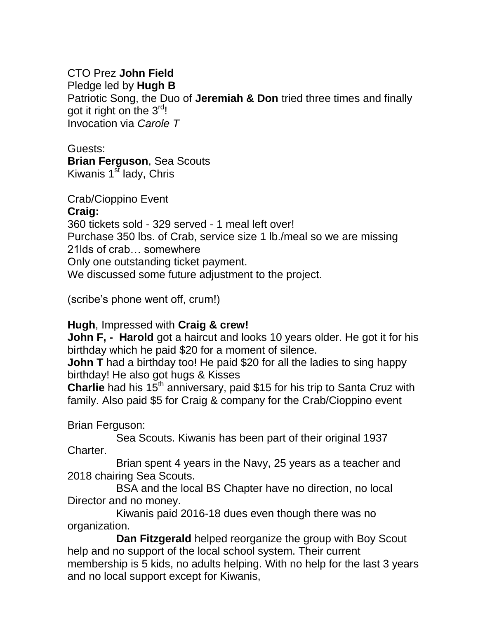## CTO Prez **John Field**

Pledge led by **Hugh B**

Patriotic Song, the Duo of **Jeremiah & Don** tried three times and finally got it right on the  $3^{\text{rd}}$ ! Invocation via *Carole T*

#### Guests:

**Brian Ferguson**, Sea Scouts Kiwanis  $1<sup>st</sup>$  lady, Chris

Crab/Cioppino Event

## **Craig:**

360 tickets sold - 329 served - 1 meal left over! Purchase 350 lbs. of Crab, service size 1 lb./meal so we are missing 21lds of crab… somewhere Only one outstanding ticket payment. We discussed some future adjustment to the project.

(scribe's phone went off, crum!)

# **Hugh**, Impressed with **Craig & crew!**

**John F, - Harold** got a haircut and looks 10 years older. He got it for his birthday which he paid \$20 for a moment of silence.

**John T** had a birthday too! He paid \$20 for all the ladies to sing happy birthday! He also got hugs & Kisses

**Charlie** had his 15<sup>th</sup> anniversary, paid \$15 for his trip to Santa Cruz with family. Also paid \$5 for Craig & company for the Crab/Cioppino event

Brian Ferguson:

 Sea Scouts. Kiwanis has been part of their original 1937 Charter.

 Brian spent 4 years in the Navy, 25 years as a teacher and 2018 chairing Sea Scouts.

 BSA and the local BS Chapter have no direction, no local Director and no money.

 Kiwanis paid 2016-18 dues even though there was no organization.

 **Dan Fitzgerald** helped reorganize the group with Boy Scout help and no support of the local school system. Their current membership is 5 kids, no adults helping. With no help for the last 3 years and no local support except for Kiwanis,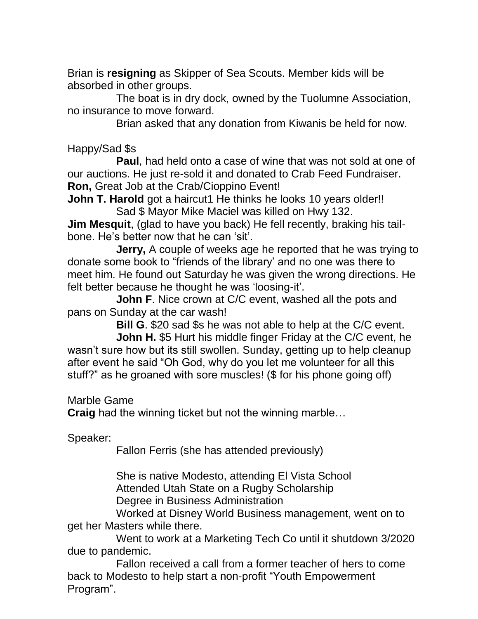Brian is **resigning** as Skipper of Sea Scouts. Member kids will be absorbed in other groups.

 The boat is in dry dock, owned by the Tuolumne Association, no insurance to move forward.

Brian asked that any donation from Kiwanis be held for now.

Happy/Sad \$s

 **Paul**, had held onto a case of wine that was not sold at one of our auctions. He just re-sold it and donated to Crab Feed Fundraiser. **Ron,** Great Job at the Crab/Cioppino Event!

**John T. Harold** got a haircut1 He thinks he looks 10 years older!! Sad \$ Mayor Mike Maciel was killed on Hwy 132.

**Jim Mesquit**, (glad to have you back) He fell recently, braking his tailbone. He's better now that he can 'sit'.

 **Jerry,** A couple of weeks age he reported that he was trying to donate some book to "friends of the library' and no one was there to meet him. He found out Saturday he was given the wrong directions. He felt better because he thought he was 'loosing-it'.

**John F**. Nice crown at C/C event, washed all the pots and pans on Sunday at the car wash!

**Bill G**. \$20 sad \$s he was not able to help at the C/C event.

 **John H.** \$5 Hurt his middle finger Friday at the C/C event, he wasn't sure how but its still swollen. Sunday, getting up to help cleanup after event he said "Oh God, why do you let me volunteer for all this stuff?" as he groaned with sore muscles! (\$ for his phone going off)

Marble Game

**Craig** had the winning ticket but not the winning marble…

Speaker:

Fallon Ferris (she has attended previously)

 She is native Modesto, attending El Vista School Attended Utah State on a Rugby Scholarship Degree in Business Administration

 Worked at Disney World Business management, went on to get her Masters while there.

 Went to work at a Marketing Tech Co until it shutdown 3/2020 due to pandemic.

 Fallon received a call from a former teacher of hers to come back to Modesto to help start a non-profit "Youth Empowerment Program".